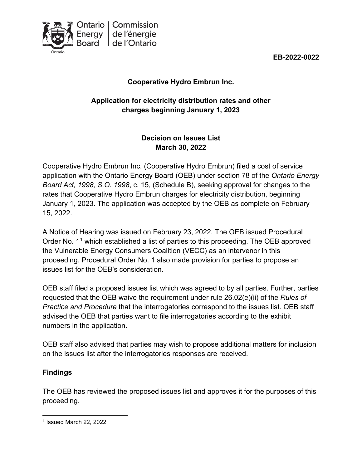



# **Cooperative Hydro Embrun Inc.**

## **Application for electricity distribution rates and other charges beginning January 1, 2023**

## **Decision on Issues List March 30, 2022**

Cooperative Hydro Embrun Inc. (Cooperative Hydro Embrun) filed a cost of service application with the Ontario Energy Board (OEB) under section 78 of the *Ontario Energy Board Act, 1998, S.O. 1998*, c. 15, (Schedule B), seeking approval for changes to the rates that Cooperative Hydro Embrun charges for electricity distribution, beginning January 1, 2023. The application was accepted by the OEB as complete on February 15, 2022.

A Notice of Hearing was issued on February 23, 2022. The OEB issued Procedural Order No.  $1<sup>1</sup>$  $1<sup>1</sup>$  which established a list of parties to this proceeding. The OEB approved the Vulnerable Energy Consumers Coalition (VECC) as an intervenor in this proceeding. Procedural Order No. 1 also made provision for parties to propose an issues list for the OEB's consideration.

OEB staff filed a proposed issues list which was agreed to by all parties. Further, parties requested that the OEB waive the requirement under rule 26.02(e)(ii) of the *Rules of Practice and Procedure* that the interrogatories correspond to the issues list. OEB staff advised the OEB that parties want to file interrogatories according to the exhibit numbers in the application.

OEB staff also advised that parties may wish to propose additional matters for inclusion on the issues list after the interrogatories responses are received.

## **Findings**

The OEB has reviewed the proposed issues list and approves it for the purposes of this proceeding.

<span id="page-0-0"></span><sup>1</sup> Issued March 22, 2022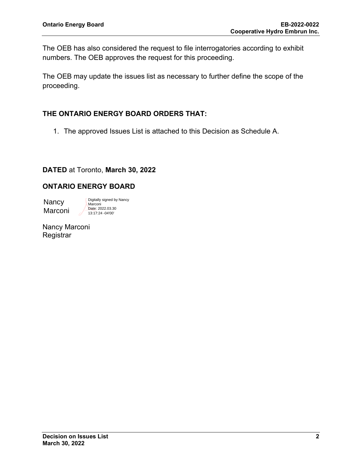The OEB has also considered the request to file interrogatories according to exhibit numbers. The OEB approves the request for this proceeding.

The OEB may update the issues list as necessary to further define the scope of the proceeding.

### **THE ONTARIO ENERGY BOARD ORDERS THAT:**

1. The approved Issues List is attached to this Decision as Schedule A.

### **DATED** at Toronto, **March 30, 2022**

### **ONTARIO ENERGY BOARD**

**Nancy** Marconi

Digitally signed by Nancy Marconi Date: 2022.03.30 13:17:24 -04'00'

Nancy Marconi **Registrar**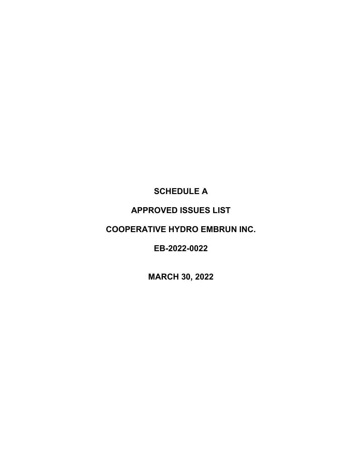# **SCHEDULE A**

# **APPROVED ISSUES LIST**

# **COOPERATIVE HYDRO EMBRUN INC.**

**EB-2022-0022**

**MARCH 30, 2022**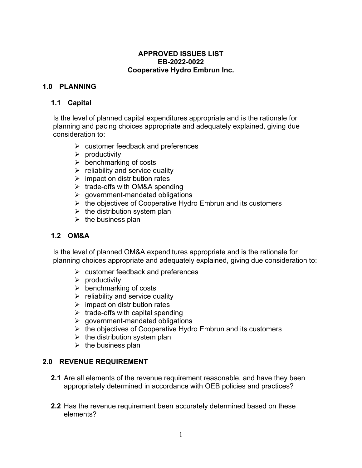#### **APPROVED ISSUES LIST EB-2022-0022 Cooperative Hydro Embrun Inc.**

### **1.0 PLANNING**

#### **1.1 Capital**

Is the level of planned capital expenditures appropriate and is the rationale for planning and pacing choices appropriate and adequately explained, giving due consideration to:

- $\triangleright$  customer feedback and preferences
- $\triangleright$  productivity
- $\triangleright$  benchmarking of costs
- $\triangleright$  reliability and service quality
- $\triangleright$  impact on distribution rates
- $\triangleright$  trade-offs with OM&A spending
- $\triangleright$  government-mandated obligations
- $\triangleright$  the objectives of Cooperative Hydro Embrun and its customers
- $\triangleright$  the distribution system plan
- $\triangleright$  the business plan

### **1.2 OM&A**

Is the level of planned OM&A expenditures appropriate and is the rationale for planning choices appropriate and adequately explained, giving due consideration to:

- $\triangleright$  customer feedback and preferences
- $\triangleright$  productivity
- $\triangleright$  benchmarking of costs
- $\triangleright$  reliability and service quality
- $\triangleright$  impact on distribution rates
- $\triangleright$  trade-offs with capital spending
- $\triangleright$  government-mandated obligations
- $\triangleright$  the objectives of Cooperative Hydro Embrun and its customers
- $\triangleright$  the distribution system plan
- $\triangleright$  the business plan

### **2.0 REVENUE REQUIREMENT**

- **2.1** Are all elements of the revenue requirement reasonable, and have they been appropriately determined in accordance with OEB policies and practices?
- **2.2** Has the revenue requirement been accurately determined based on these elements?